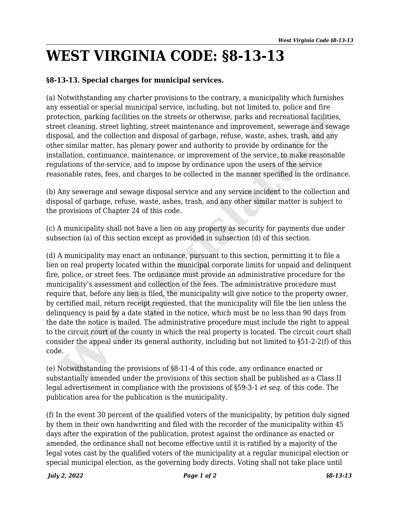## **WEST VIRGINIA CODE: §8-13-13**

## **§8-13-13. Special charges for municipal services.**

(a) Notwithstanding any charter provisions to the contrary, a municipality which furnishes any essential or special municipal service, including, but not limited to, police and fire protection, parking facilities on the streets or otherwise, parks and recreational facilities, street cleaning, street lighting, street maintenance and improvement, sewerage and sewage disposal, and the collection and disposal of garbage, refuse, waste, ashes, trash, and any other similar matter, has plenary power and authority to provide by ordinance for the installation, continuance, maintenance, or improvement of the service, to make reasonable regulations of the service, and to impose by ordinance upon the users of the service reasonable rates, fees, and charges to be collected in the manner specified in the ordinance.

(b) Any sewerage and sewage disposal service and any service incident to the collection and disposal of garbage, refuse, waste, ashes, trash, and any other similar matter is subject to the provisions of Chapter 24 of this code.

(c) A municipality shall not have a lien on any property as security for payments due under subsection (a) of this section except as provided in subsection (d) of this section.

(d) A municipality may enact an ordinance, pursuant to this section, permitting it to file a lien on real property located within the municipal corporate limits for unpaid and delinquent fire, police, or street fees. The ordinance must provide an administrative procedure for the municipality's assessment and collection of the fees. The administrative procedure must require that, before any lien is filed, the municipality will give notice to the property owner, by certified mail, return receipt requested, that the municipality will file the lien unless the delinquency is paid by a date stated in the notice, which must be no less than 90 days from the date the notice is mailed. The administrative procedure must include the right to appeal to the circuit court of the county in which the real property is located. The circuit court shall consider the appeal under its general authority, including but not limited to §51-2-2(f) of this code. tection, parking facilities on the streets or cherwise, parks and recreational facilities<br>tection, parking facilities on the streets or cherwise, parks and recreational facilities<br>tect claning, street lighting, street main

(e) Notwithstanding the provisions of §8-11-4 of this code, any ordinance enacted or substantially amended under the provisions of this section shall be published as a Class II legal advertisement in compliance with the provisions of §59-3-1 *et seq*. of this code. The publication area for the publication is the municipality.

(f) In the event 30 percent of the qualified voters of the municipality, by petition duly signed by them in their own handwriting and filed with the recorder of the municipality within 45 days after the expiration of the publication, protest against the ordinance as enacted or amended, the ordinance shall not become effective until it is ratified by a majority of the legal votes cast by the qualified voters of the municipality at a regular municipal election or special municipal election, as the governing body directs. Voting shall not take place until